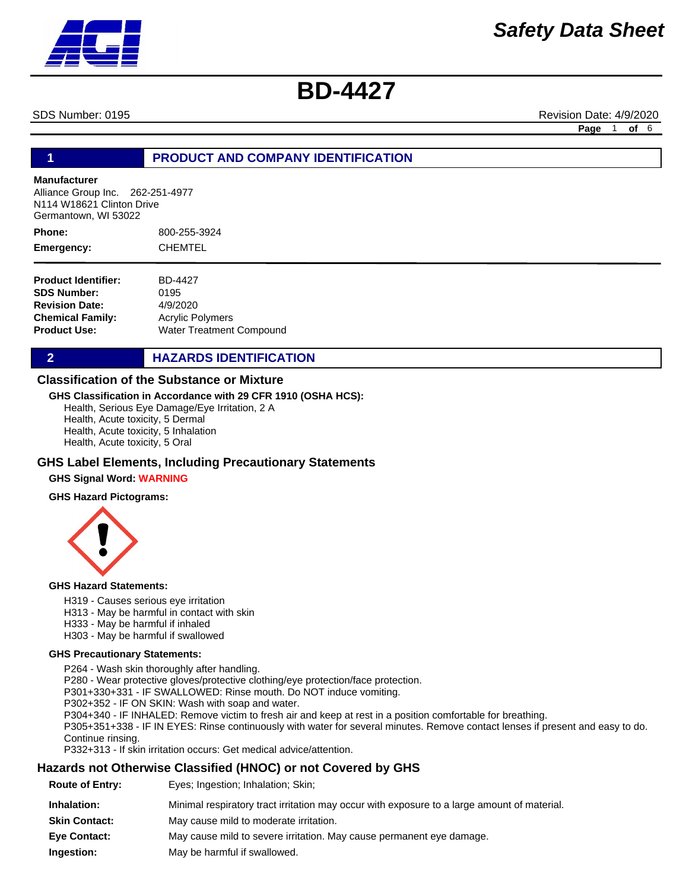SDS Number: 0195 **Revision Date: 4/9/2020** Revision Date: 4/9/2020

**Page** 1 **of** 6

# **1 PRODUCT AND COMPANY IDENTIFICATION**

### **Manufacturer**

Alliance Group Inc. 262-251-4977 N114 W18621 Clinton Drive Germantown, WI 53022

800-255-3924 **CHEMTEL Phone: Emergency:**

**Product Identifier: SDS Number: Revision Date: Chemical Family: Product Use:** BD-4427 0195 4/9/2020 Acrylic Polymers Water Treatment Compound

**2 HAZARDS IDENTIFICATION** 

### **Classification of the Substance or Mixture**

### **GHS Classification in Accordance with 29 CFR 1910 (OSHA HCS):**

Health, Serious Eye Damage/Eye Irritation, 2 A Health, Acute toxicity, 5 Dermal Health, Acute toxicity, 5 Inhalation Health, Acute toxicity, 5 Oral

### **GHS Label Elements, Including Precautionary Statements**

### **GHS Signal Word: WARNING**

### **GHS Hazard Pictograms:**



### **GHS Hazard Statements:**

- H319 Causes serious eye irritation
- H313 May be harmful in contact with skin
- H333 May be harmful if inhaled
- H303 May be harmful if swallowed

### **GHS Precautionary Statements:**

P264 - Wash skin thoroughly after handling. P280 - Wear protective gloves/protective clothing/eye protection/face protection. P301+330+331 - IF SWALLOWED: Rinse mouth. Do NOT induce vomiting. P302+352 - IF ON SKIN: Wash with soap and water. P304+340 - IF INHALED: Remove victim to fresh air and keep at rest in a position comfortable for breathing. P305+351+338 - IF IN EYES: Rinse continuously with water for several minutes. Remove contact lenses if present and easy to do. Continue rinsing. P332+313 - If skin irritation occurs: Get medical advice/attention.

# **Hazards not Otherwise Classified (HNOC) or not Covered by GHS**

| <b>Route of Entry:</b> | Eyes; Ingestion; Inhalation; Skin;                                                          |
|------------------------|---------------------------------------------------------------------------------------------|
| Inhalation:            | Minimal respiratory tract irritation may occur with exposure to a large amount of material. |
| <b>Skin Contact:</b>   | May cause mild to moderate irritation.                                                      |
| <b>Eye Contact:</b>    | May cause mild to severe irritation. May cause permanent eye damage.                        |
| Ingestion:             | May be harmful if swallowed.                                                                |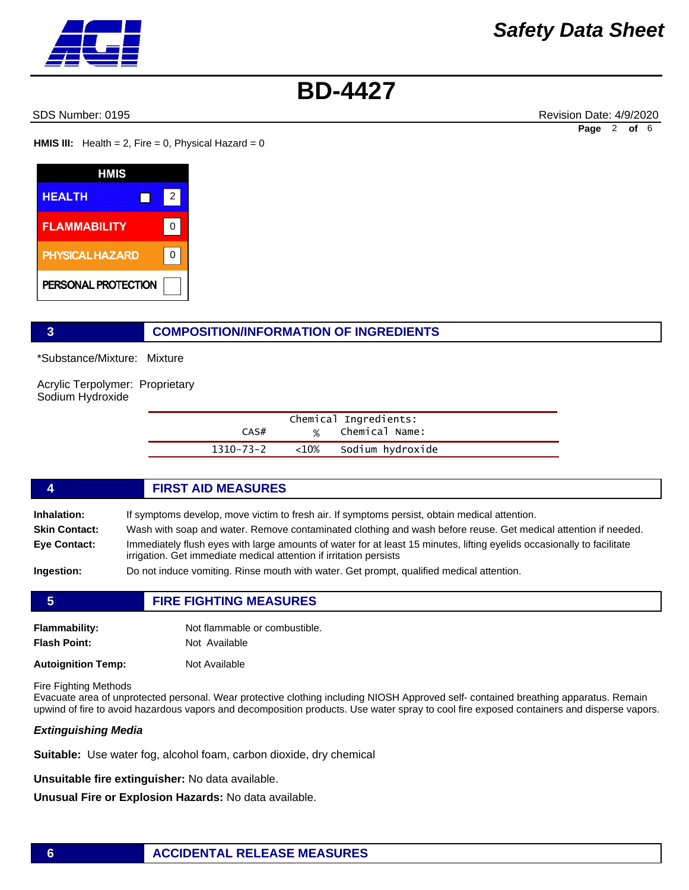SDS Number: 0195 **Revision Date: 4/9/2020** Revision Date: 4/9/2020

**Page** 2 **of** 6

**HMIS III:** Health = 2, Fire = 0, Physical Hazard = 0

| HMIS                   |   |
|------------------------|---|
| <b>HEALTH</b>          | 2 |
| <b>FLAMMABILITY</b>    |   |
| <b>PHYSICAL HAZARD</b> |   |
| PERSONAL PROTECTION    |   |

# **3 COMPOSITION/INFORMATION OF INGREDIENTS**

\*Substance/Mixture: Mixture

Acrylic Terpolymer: Proprietary Sodium Hydroxide

|           | Chemical Ingredients: |
|-----------|-----------------------|
| CAS#      | % Chemical Name:      |
| 1310-73-2 | <10% Sodium hydroxide |

## **4 FIRST AID MEASURES**

**Inhalation:** If symptoms develop, move victim to fresh air. If symptoms persist, obtain medical attention.

- **Skin Contact:** Wash with soap and water. Remove contaminated clothing and wash before reuse. Get medical attention if needed.
- **Eye Contact:** Immediately flush eyes with large amounts of water for at least 15 minutes, lifting eyelids occasionally to facilitate irrigation. Get immediate medical attention if irritation persists

**Ingestion:** Do not induce vomiting. Rinse mouth with water. Get prompt, qualified medical attention.

| 5                                           | <b>FIRE FIGHTING MEASURES</b>                  |  |
|---------------------------------------------|------------------------------------------------|--|
| <b>Flammability:</b><br><b>Flash Point:</b> | Not flammable or combustible.<br>Not Available |  |
| <b>Autoignition Temp:</b>                   | Not Available                                  |  |

Fire Fighting Methods

Evacuate area of unprotected personal. Wear protective clothing including NIOSH Approved self- contained breathing apparatus. Remain upwind of fire to avoid hazardous vapors and decomposition products. Use water spray to cool fire exposed containers and disperse vapors.

### *Extinguishing Media*

**Suitable:** Use water fog, alcohol foam, carbon dioxide, dry chemical

**Unsuitable fire extinguisher:** No data available.

**Unusual Fire or Explosion Hazards:** No data available.

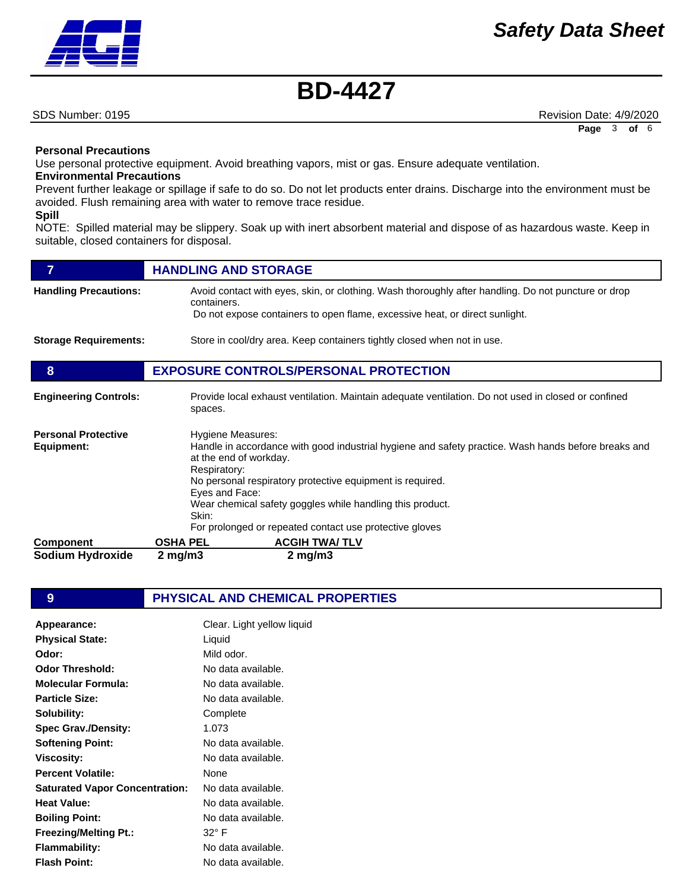SDS Number: 0195 **Revision Date: 4/9/2020** Revision Date: 4/9/2020

# **Personal Precautions**

Use personal protective equipment. Avoid breathing vapors, mist or gas. Ensure adequate ventilation.

# **Environmental Precautions**

Prevent further leakage or spillage if safe to do so. Do not let products enter drains. Discharge into the environment must be avoided. Flush remaining area with water to remove trace residue.

### **Spill**

NOTE: Spilled material may be slippery. Soak up with inert absorbent material and dispose of as hazardous waste. Keep in suitable, closed containers for disposal.

|                                          | <b>HANDLING AND STORAGE</b>                                                                                                                                                                                                                                                                                             |
|------------------------------------------|-------------------------------------------------------------------------------------------------------------------------------------------------------------------------------------------------------------------------------------------------------------------------------------------------------------------------|
| <b>Handling Precautions:</b>             | Avoid contact with eyes, skin, or clothing. Wash thoroughly after handling. Do not puncture or drop<br>containers.                                                                                                                                                                                                      |
|                                          | Do not expose containers to open flame, excessive heat, or direct sunlight.                                                                                                                                                                                                                                             |
| <b>Storage Requirements:</b>             | Store in cool/dry area. Keep containers tightly closed when not in use.                                                                                                                                                                                                                                                 |
| 8                                        | <b>EXPOSURE CONTROLS/PERSONAL PROTECTION</b>                                                                                                                                                                                                                                                                            |
| <b>Engineering Controls:</b>             | Provide local exhaust ventilation. Maintain adequate ventilation. Do not used in closed or confined<br>spaces.                                                                                                                                                                                                          |
| <b>Personal Protective</b><br>Equipment: | Hygiene Measures:<br>Handle in accordance with good industrial hygiene and safety practice. Wash hands before breaks and<br>at the end of workday.<br>Respiratory:<br>No personal respiratory protective equipment is required.<br>Eyes and Face:<br>Wear chemical safety goggles while handling this product.<br>Skin: |
|                                          | For prolonged or repeated contact use protective gloves<br><b>OSHA PEL</b>                                                                                                                                                                                                                                              |
| <b>Component</b><br>Sodium Hydroxide     | <b>ACGIH TWA/TLV</b><br>$2$ mg/m $3$<br>$2 \text{ mg/m}$                                                                                                                                                                                                                                                                |
|                                          |                                                                                                                                                                                                                                                                                                                         |

**9 PHYSICAL AND CHEMICAL PROPERTIES** 

| Appearance:                           | Clear. Light yellow liquid |
|---------------------------------------|----------------------------|
| <b>Physical State:</b>                | Liquid                     |
| Odor:                                 | Mild odor.                 |
| <b>Odor Threshold:</b>                | No data available.         |
| Molecular Formula:                    | No data available.         |
| <b>Particle Size:</b>                 | No data available.         |
| Solubility:                           | Complete                   |
| <b>Spec Grav./Density:</b>            | 1.073                      |
| <b>Softening Point:</b>               | No data available.         |
| Viscosity:                            | No data available.         |
| <b>Percent Volatile:</b>              | None                       |
| <b>Saturated Vapor Concentration:</b> | No data available.         |
| <b>Heat Value:</b>                    | No data available.         |
| <b>Boiling Point:</b>                 | No data available.         |
| <b>Freezing/Melting Pt.:</b>          | 32° F                      |
| Flammability:                         | No data available.         |
| <b>Flash Point:</b>                   | No data available.         |

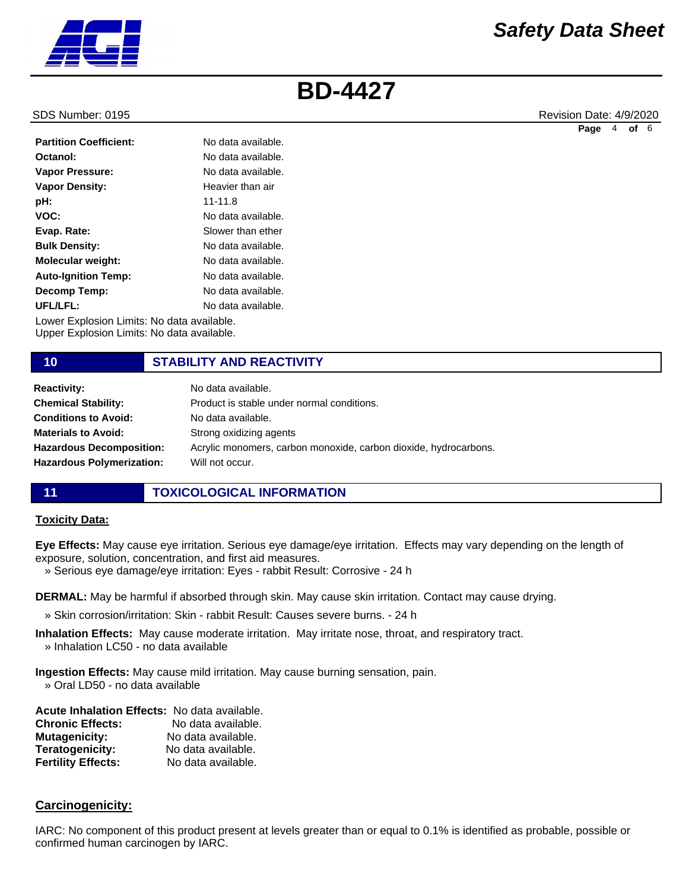

SDS Number: 0195 **Revision Date: 4/9/2020** Revision Date: 4/9/2020

**Page** 4 **of** 6

| <b>Partition Coefficient:</b>              | No data available. |
|--------------------------------------------|--------------------|
| Octanol:                                   | No data available. |
| Vapor Pressure:                            | No data available. |
| <b>Vapor Density:</b>                      | Heavier than air   |
| pH:                                        | $11 - 11.8$        |
| VOC:                                       | No data available. |
| Evap. Rate:                                | Slower than ether  |
| <b>Bulk Density:</b>                       | No data available. |
| <b>Molecular weight:</b>                   | No data available. |
| <b>Auto-Ignition Temp:</b>                 | No data available. |
| Decomp Temp:                               | No data available. |
| UFL/LFL:                                   | No data available. |
| Lower Explosion Limits: No data available. |                    |

Upper Explosion Limits: No data available.

# **10 STABILITY AND REACTIVITY**

| <b>Reactivity:</b>               | No data available.                                               |
|----------------------------------|------------------------------------------------------------------|
| <b>Chemical Stability:</b>       | Product is stable under normal conditions.                       |
| <b>Conditions to Avoid:</b>      | No data available.                                               |
| <b>Materials to Avoid:</b>       | Strong oxidizing agents                                          |
| <b>Hazardous Decomposition:</b>  | Acrylic monomers, carbon monoxide, carbon dioxide, hydrocarbons. |
| <b>Hazardous Polymerization:</b> | Will not occur.                                                  |
|                                  |                                                                  |

### **11 TOXICOLOGICAL INFORMATION**

### **Toxicity Data:**

**Eye Effects:** May cause eye irritation. Serious eye damage/eye irritation. Effects may vary depending on the length of exposure, solution, concentration, and first aid measures.

» Serious eye damage/eye irritation: Eyes - rabbit Result: Corrosive - 24 h

**DERMAL:** May be harmful if absorbed through skin. May cause skin irritation. Contact may cause drying.

- » Skin corrosion/irritation: Skin rabbit Result: Causes severe burns. 24 h
- **Inhalation Effects:** May cause moderate irritation. May irritate nose, throat, and respiratory tract. » Inhalation LC50 - no data available

**Ingestion Effects:** May cause mild irritation. May cause burning sensation, pain. » Oral LD50 - no data available

**Acute Inhalation Effects:** No data available. **Chronic Effects:** No data available. **Mutagenicity:** No data available. **Teratogenicity:** No data available. **Fertility Effects:** No data available.

### **Carcinogenicity:**

IARC: No component of this product present at levels greater than or equal to 0.1% is identified as probable, possible or confirmed human carcinogen by IARC.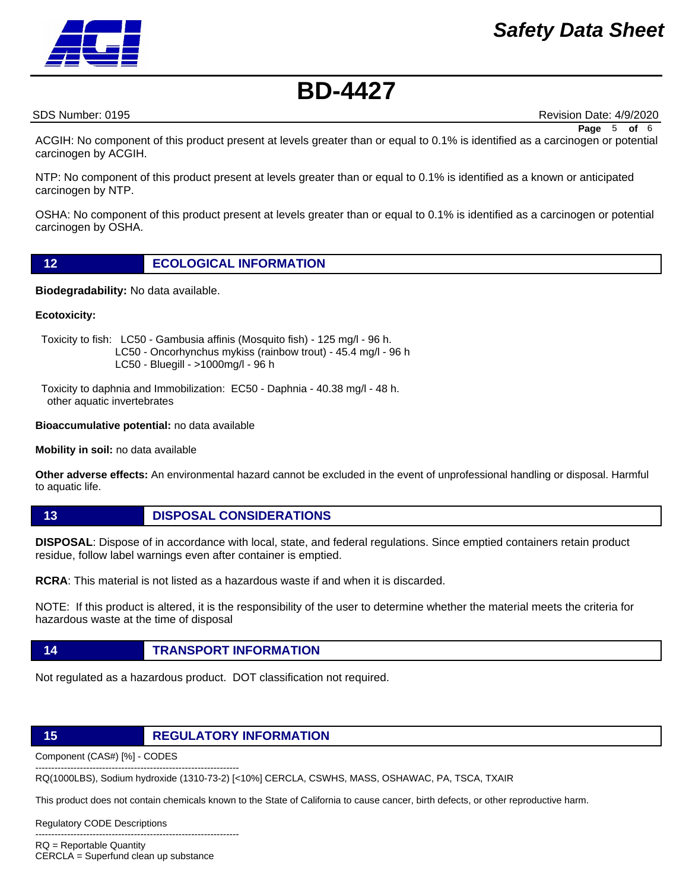# *Safety Data Sheet*



# **BD-4427**

SDS Number: 0195 **Revision Date: 4/9/2020** Revision Date: 4/9/2020

**Page** 5 **of** 6

ACGIH: No component of this product present at levels greater than or equal to 0.1% is identified as a carcinogen or potential carcinogen by ACGIH.

NTP: No component of this product present at levels greater than or equal to 0.1% is identified as a known or anticipated carcinogen by NTP.

OSHA: No component of this product present at levels greater than or equal to 0.1% is identified as a carcinogen or potential carcinogen by OSHA.

**Biodegradability:** No data available.

### **Ecotoxicity:**

 Toxicity to fish: LC50 - Gambusia affinis (Mosquito fish) - 125 mg/l - 96 h. LC50 - Oncorhynchus mykiss (rainbow trout) - 45.4 mg/l - 96 h LC50 - Bluegill - >1000mg/l - 96 h

 Toxicity to daphnia and Immobilization: EC50 - Daphnia - 40.38 mg/l - 48 h. other aquatic invertebrates

### **Bioaccumulative potential:** no data available

**Mobility in soil:** no data available

**Other adverse effects:** An environmental hazard cannot be excluded in the event of unprofessional handling or disposal. Harmful to aquatic life.

**13 DISPOSAL CONSIDERATIONS**

**DISPOSAL**: Dispose of in accordance with local, state, and federal regulations. Since emptied containers retain product residue, follow label warnings even after container is emptied.

**RCRA**: This material is not listed as a hazardous waste if and when it is discarded.

NOTE: If this product is altered, it is the responsibility of the user to determine whether the material meets the criteria for hazardous waste at the time of disposal

**14 TRANSPORT INFORMATION**

Not regulated as a hazardous product. DOT classification not required.

### **15 REGULATORY INFORMATION**

Component (CAS#) [%] - CODES ----------------------------------------------------------------

RQ(1000LBS), Sodium hydroxide (1310-73-2) [<10%] CERCLA, CSWHS, MASS, OSHAWAC, PA, TSCA, TXAIR

This product does not contain chemicals known to the State of California to cause cancer, birth defects, or other reproductive harm.

Regulatory CODE Descriptions

---------------------------------------------------------------- RQ = Reportable Quantity

CERCLA = Superfund clean up substance